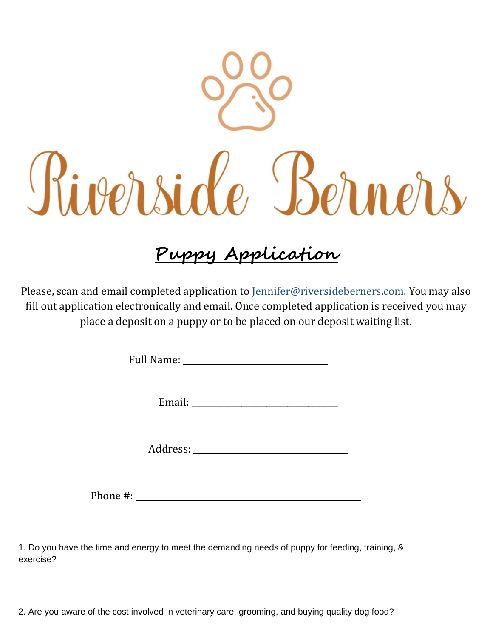

## **Puppy Application**

[Please, scan and email completed application to Jennifer@riversideberners.com.](mailto:Please,%20scan%20and%20email%20completed%20application%20to%20Jennifer@riversideberners.com.) You may also fill out application electronically and email. Once completed application is received you may place a deposit on a puppy or to be placed on our deposit waiting list.

Full Name:

Email: \_\_\_\_\_\_\_\_\_\_\_\_\_\_\_\_\_\_\_\_\_\_\_\_\_\_\_\_\_\_\_\_\_\_\_

Address:

Phone #: \_\_\_\_\_\_\_\_\_\_\_\_\_

1. Do you have the time and energy to meet the demanding needs of puppy for feeding, training, & exercise?

2. Are you aware of the cost involved in veterinary care, grooming, and buying quality dog food?